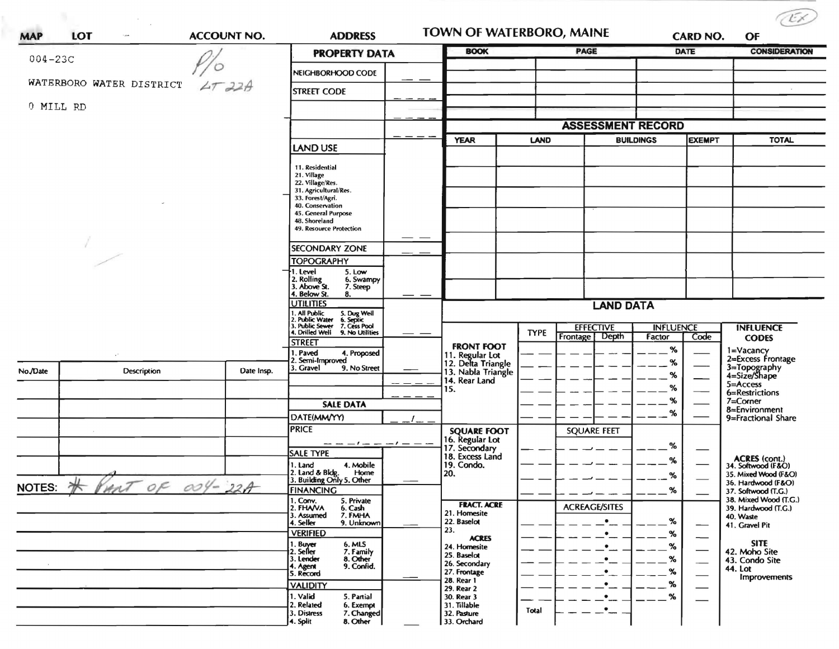| LOT<br><b>MAP</b><br>A(t) |                                   |            | <b>ADDRESS</b>                                                                                 |                      | <b>TOWN OF WATERBORO, MAINE</b><br><b>BOOK</b>              |             | <b>CARD NO.</b>                       |                            |               |                                              |
|---------------------------|-----------------------------------|------------|------------------------------------------------------------------------------------------------|----------------------|-------------------------------------------------------------|-------------|---------------------------------------|----------------------------|---------------|----------------------------------------------|
| $004 - 23C$               |                                   |            |                                                                                                | <b>PROPERTY DATA</b> |                                                             |             | <b>PAGE</b>                           |                            | <b>DATE</b>   | <b>CONSIDERATION</b>                         |
|                           |                                   |            | NEIGHBORHOOD CODE                                                                              |                      |                                                             |             |                                       |                            |               |                                              |
|                           | WATERBORO WATER DISTRICT          | $2T$ $22A$ | <b>STREET CODE</b>                                                                             |                      |                                                             |             |                                       |                            |               |                                              |
| 0 MILL RD                 |                                   |            |                                                                                                |                      |                                                             |             |                                       |                            |               |                                              |
|                           |                                   |            |                                                                                                |                      |                                                             |             | <b>ASSESSMENT RECORD</b>              |                            |               |                                              |
|                           |                                   |            |                                                                                                |                      | <b>YEAR</b>                                                 | <b>LAND</b> |                                       | <b>BUILDINGS</b>           | <b>EXEMPT</b> | <b>TOTAL</b>                                 |
|                           |                                   |            | <b>LAND USE</b>                                                                                |                      |                                                             |             |                                       |                            |               |                                              |
|                           |                                   |            | 11. Residential<br>21. Village                                                                 |                      |                                                             |             |                                       |                            |               |                                              |
|                           |                                   |            | 22. Village/Res.<br>31. Agricultural/Res.                                                      |                      |                                                             |             |                                       |                            |               |                                              |
|                           |                                   |            | 33. Forest/Agri.<br>40. Conservation                                                           |                      |                                                             |             |                                       |                            |               |                                              |
|                           |                                   |            | 45. General Purpose                                                                            |                      |                                                             |             |                                       |                            |               |                                              |
|                           |                                   |            | 48. Shoreland<br>49. Resource Protection                                                       |                      |                                                             |             |                                       |                            |               |                                              |
|                           |                                   |            | <b>SECONDARY ZONE</b>                                                                          |                      |                                                             |             |                                       |                            |               |                                              |
|                           |                                   |            | <b>TOPOGRAPHY</b>                                                                              |                      |                                                             |             |                                       |                            |               |                                              |
|                           |                                   |            | I. Level<br>5. Low<br>6. Swampy                                                                |                      |                                                             |             |                                       |                            |               |                                              |
|                           |                                   |            | 2. Rolling<br>3. Above St.<br>7. Steep<br>4. Below St.<br>8.                                   |                      |                                                             |             |                                       |                            |               |                                              |
|                           |                                   |            | <b>UTILITIES</b>                                                                               |                      |                                                             |             | <b>LAND DATA</b>                      |                            |               |                                              |
|                           |                                   |            | I. All Public<br>2. Public Water<br>5. Dug Well<br>6. Septic<br>7. Cess Pool<br>. Public Sewer |                      |                                                             |             |                                       |                            |               |                                              |
|                           |                                   |            | 4. Drilled Well<br>9. No Utilities                                                             |                      |                                                             | <b>TYPE</b> | <b>EFFECTIVE</b><br>Depth<br>Frontage | <b>INFLUENCE</b><br>Factor | Code          | <b>INFLUENCE</b><br><b>CODES</b>             |
|                           |                                   |            | <b>STREET</b><br>. Paved<br>4. Proposed                                                        |                      | <b>FRONT FOOT</b>                                           |             |                                       | %                          |               | 1=Vacancy<br>2=Excess Frontage               |
|                           |                                   |            | 2. Semi-Improved<br>3. Gravel<br>9. No Street                                                  |                      | 11. Regular Lot<br>12. Delta Triangle<br>13. Nabla Triangle |             |                                       | %                          |               |                                              |
| No./Date                  | Description                       | Date Insp. |                                                                                                |                      | 14. Rear Land                                               |             |                                       | %                          |               | 3=Topography<br>4=Size/Shape<br>5=Access     |
|                           |                                   |            |                                                                                                |                      | 15.                                                         |             |                                       | $\%$                       |               | 6=Restrictions                               |
|                           |                                   |            | <b>SALE DATA</b>                                                                               |                      |                                                             |             |                                       | %<br>%                     |               | $7 =$ Corner<br>8=Environment                |
|                           |                                   |            | DATE(MM/YY)<br><b>PRICE</b>                                                                    |                      |                                                             |             |                                       |                            |               | 9=Fractional Share                           |
|                           |                                   |            | -- -- - l -- -- l -- -- --                                                                     |                      | <b>SQUARE FOOT</b><br>16. Regular Lot<br>17. Secondary      |             | <b>SQUARE FEET</b>                    |                            |               |                                              |
|                           |                                   |            | <b>SALE TYPE</b>                                                                               |                      | 18. Excess Land                                             |             |                                       | %                          |               |                                              |
|                           |                                   |            | 1. Land<br>4. Mobile<br>Home                                                                   |                      | 19. Condo.<br>20.                                           |             |                                       | %                          |               | ACRES (cont.)<br>34. Softwood (F&O)          |
|                           | NOTES: $#$ PART of $\alpha$ 4-22A |            | 2. Land & Bldg. Home<br>3. Building Only 5. Other                                              |                      |                                                             |             |                                       | $\%$                       |               | 35. Mixed Wood (F&O)<br>36. Hardwood (F&O)   |
|                           |                                   |            | <b>FINANCING</b><br>5. Private                                                                 |                      |                                                             |             |                                       | $\%$                       |               | 37. Softwood (T.G.)<br>38. Mixed Wood (T.G.) |
|                           |                                   |            | 1. Conv.<br>2. FHA/VA<br>6. Cash<br>3. Assumed<br>7. FMHA                                      |                      | <b>FRACT. ACRE</b><br>21. Homesite                          |             | <b>ACREAGE/SITES</b>                  |                            |               | 39. Hardwood (T.G.)<br>40. Waste             |
|                           |                                   |            | 9. Unknown<br>4. Seller<br><b>VERIFIED</b>                                                     |                      | 22. Baselot<br>23.                                          |             | $\bullet$                             | $\%$                       | —             | 41. Gravel Pit                               |
|                           |                                   |            | 6. MLS                                                                                         |                      | <b>ACRES</b><br>24. Homesite                                |             | $\bullet$<br>$\bullet$                | %<br>%                     |               | <b>SITE</b>                                  |
|                           |                                   |            | 1. Buyer<br>2. Seller<br>7. Family<br>3. Lender<br>8. Other                                    |                      | 25. Baselot                                                 |             | $\bullet$                             | %                          |               | 42. Moho Site<br>43. Condo Site              |
|                           |                                   |            | 9. Confid.<br>4. Agent<br>5. Record                                                            |                      | 26. Secondary<br>27. Frontage                               |             | $\bullet$                             | %                          |               | 44. Lot                                      |
|                           |                                   |            | <b>VALIDITY</b>                                                                                |                      | 28. Rear 1<br>29. Rear 2                                    |             | $\bullet$                             | %                          |               | Improvements                                 |
|                           |                                   |            | 1. Valid<br>5. Partial<br>2. Related<br>6. Exempt                                              |                      | 30. Rear 3<br>31. Tillable                                  |             | $\bullet$                             | $\%$                       |               |                                              |
|                           |                                   |            | 3. Distress<br>7. Changed                                                                      |                      | 32. Pasture                                                 | Total       | $\bullet$                             |                            |               |                                              |